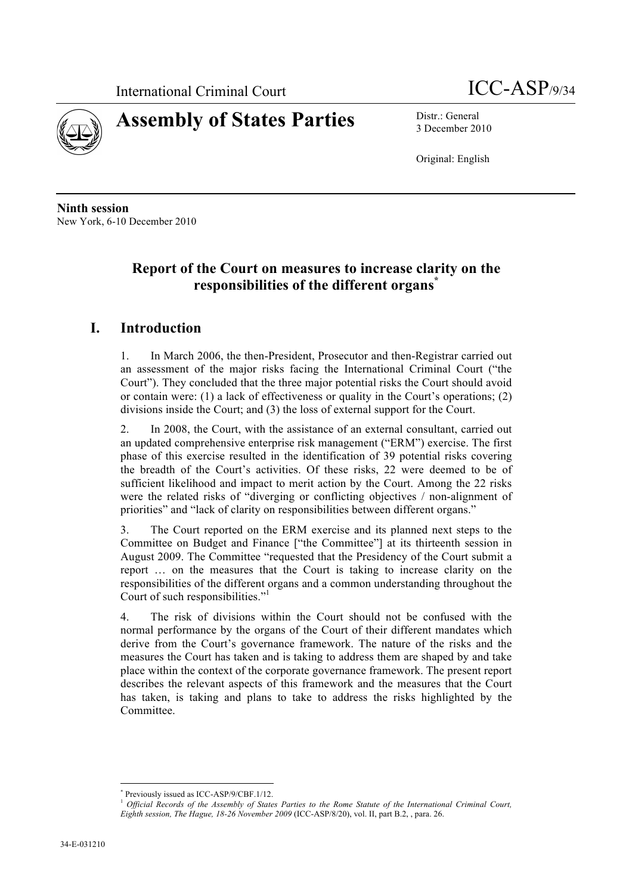



3 December 2010

Original: English

**Ninth session** New York, 6-10 December 2010

# **Report of the Court on measures to increase clarity on the responsibilities of the different organs\***

# **I. Introduction**

1. In March 2006, the then-President, Prosecutor and then-Registrar carried out an assessment of the major risks facing the International Criminal Court ("the Court"). They concluded that the three major potential risks the Court should avoid or contain were: (1) a lack of effectiveness or quality in the Court's operations; (2) divisions inside the Court; and (3) the loss of external support for the Court.

2. In 2008, the Court, with the assistance of an external consultant, carried out an updated comprehensive enterprise risk management ("ERM") exercise. The first phase of this exercise resulted in the identification of 39 potential risks covering the breadth of the Court's activities. Of these risks, 22 were deemed to be of sufficient likelihood and impact to merit action by the Court. Among the 22 risks were the related risks of "diverging or conflicting objectives / non-alignment of priorities" and "lack of clarity on responsibilities between different organs."

3. The Court reported on the ERM exercise and its planned next steps to the Committee on Budget and Finance ["the Committee"] at its thirteenth session in August 2009. The Committee "requested that the Presidency of the Court submit a report … on the measures that the Court is taking to increase clarity on the responsibilities of the different organs and a common understanding throughout the Court of such responsibilities."

4. The risk of divisions within the Court should not be confused with the normal performance by the organs of the Court of their different mandates which derive from the Court's governance framework. The nature of the risks and the measures the Court has taken and is taking to address them are shaped by and take place within the context of the corporate governance framework. The present report describes the relevant aspects of this framework and the measures that the Court has taken, is taking and plans to take to address the risks highlighted by the Committee.

Previously issued as ICC-ASP/9/CBF.1/12.

<sup>1</sup> *Official Records of the Assembly of States Parties to the Rome Statute of the International Criminal Court, Eighth session, The Hague, 18-26 November 2009* (ICC-ASP/8/20), vol. II, part B.2, , para. 26.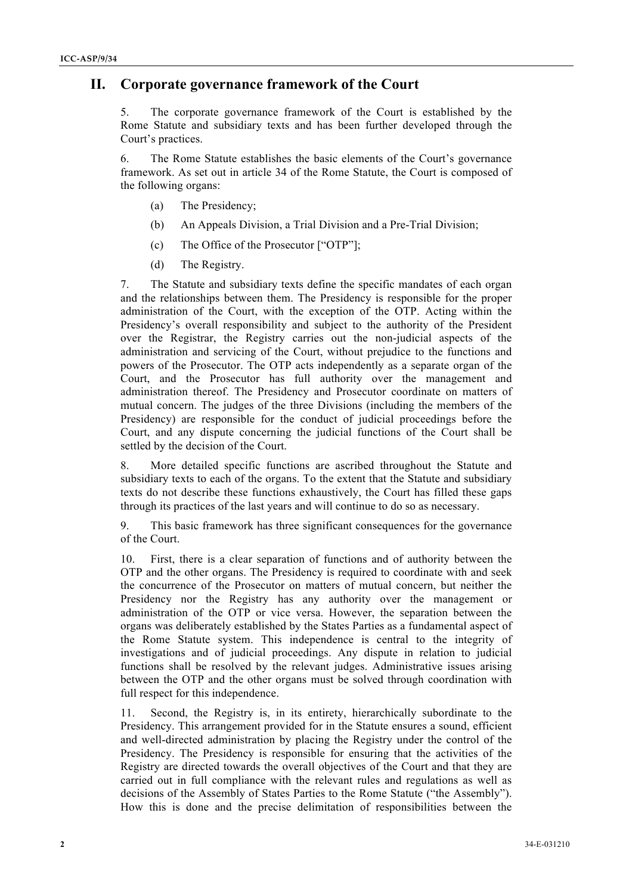# **II. Corporate governance framework of the Court**

5. The corporate governance framework of the Court is established by the Rome Statute and subsidiary texts and has been further developed through the Court's practices.

6. The Rome Statute establishes the basic elements of the Court's governance framework. As set out in article 34 of the Rome Statute, the Court is composed of the following organs:

- (a) The Presidency;
- (b) An Appeals Division, a Trial Division and a Pre-Trial Division;
- (c) The Office of the Prosecutor ["OTP"];
- (d) The Registry.

7. The Statute and subsidiary texts define the specific mandates of each organ and the relationships between them. The Presidency is responsible for the proper administration of the Court, with the exception of the OTP. Acting within the Presidency's overall responsibility and subject to the authority of the President over the Registrar, the Registry carries out the non-judicial aspects of the administration and servicing of the Court, without prejudice to the functions and powers of the Prosecutor. The OTP acts independently as a separate organ of the Court, and the Prosecutor has full authority over the management and administration thereof. The Presidency and Prosecutor coordinate on matters of mutual concern. The judges of the three Divisions (including the members of the Presidency) are responsible for the conduct of judicial proceedings before the Court, and any dispute concerning the judicial functions of the Court shall be settled by the decision of the Court.

8. More detailed specific functions are ascribed throughout the Statute and subsidiary texts to each of the organs. To the extent that the Statute and subsidiary texts do not describe these functions exhaustively, the Court has filled these gaps through its practices of the last years and will continue to do so as necessary.

9. This basic framework has three significant consequences for the governance of the Court.

10. First, there is a clear separation of functions and of authority between the OTP and the other organs. The Presidency is required to coordinate with and seek the concurrence of the Prosecutor on matters of mutual concern, but neither the Presidency nor the Registry has any authority over the management or administration of the OTP or vice versa. However, the separation between the organs was deliberately established by the States Parties as a fundamental aspect of the Rome Statute system. This independence is central to the integrity of investigations and of judicial proceedings. Any dispute in relation to judicial functions shall be resolved by the relevant judges. Administrative issues arising between the OTP and the other organs must be solved through coordination with full respect for this independence.

11. Second, the Registry is, in its entirety, hierarchically subordinate to the Presidency. This arrangement provided for in the Statute ensures a sound, efficient and well-directed administration by placing the Registry under the control of the Presidency. The Presidency is responsible for ensuring that the activities of the Registry are directed towards the overall objectives of the Court and that they are carried out in full compliance with the relevant rules and regulations as well as decisions of the Assembly of States Parties to the Rome Statute ("the Assembly"). How this is done and the precise delimitation of responsibilities between the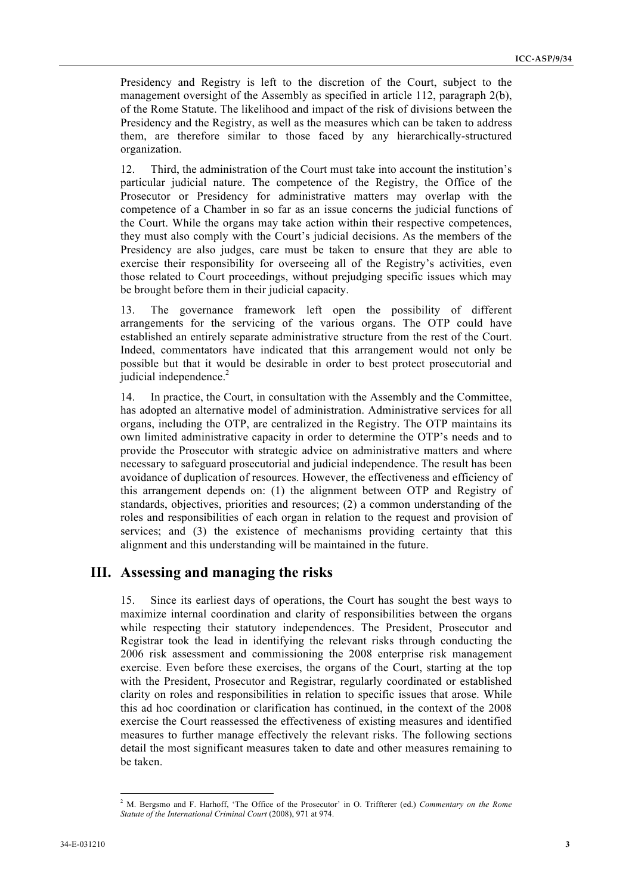Presidency and Registry is left to the discretion of the Court, subject to the management oversight of the Assembly as specified in article 112, paragraph 2(b), of the Rome Statute. The likelihood and impact of the risk of divisions between the Presidency and the Registry, as well as the measures which can be taken to address them, are therefore similar to those faced by any hierarchically-structured organization.

12. Third, the administration of the Court must take into account the institution's particular judicial nature. The competence of the Registry, the Office of the Prosecutor or Presidency for administrative matters may overlap with the competence of a Chamber in so far as an issue concerns the judicial functions of the Court. While the organs may take action within their respective competences, they must also comply with the Court's judicial decisions. As the members of the Presidency are also judges, care must be taken to ensure that they are able to exercise their responsibility for overseeing all of the Registry's activities, even those related to Court proceedings, without prejudging specific issues which may be brought before them in their judicial capacity.

13. The governance framework left open the possibility of different arrangements for the servicing of the various organs. The OTP could have established an entirely separate administrative structure from the rest of the Court. Indeed, commentators have indicated that this arrangement would not only be possible but that it would be desirable in order to best protect prosecutorial and judicial independence.<sup>2</sup>

14. In practice, the Court, in consultation with the Assembly and the Committee, has adopted an alternative model of administration. Administrative services for all organs, including the OTP, are centralized in the Registry. The OTP maintains its own limited administrative capacity in order to determine the OTP's needs and to provide the Prosecutor with strategic advice on administrative matters and where necessary to safeguard prosecutorial and judicial independence. The result has been avoidance of duplication of resources. However, the effectiveness and efficiency of this arrangement depends on: (1) the alignment between OTP and Registry of standards, objectives, priorities and resources; (2) a common understanding of the roles and responsibilities of each organ in relation to the request and provision of services; and (3) the existence of mechanisms providing certainty that this alignment and this understanding will be maintained in the future.

# **III. Assessing and managing the risks**

15. Since its earliest days of operations, the Court has sought the best ways to maximize internal coordination and clarity of responsibilities between the organs while respecting their statutory independences. The President, Prosecutor and Registrar took the lead in identifying the relevant risks through conducting the 2006 risk assessment and commissioning the 2008 enterprise risk management exercise. Even before these exercises, the organs of the Court, starting at the top with the President, Prosecutor and Registrar, regularly coordinated or established clarity on roles and responsibilities in relation to specific issues that arose. While this ad hoc coordination or clarification has continued, in the context of the 2008 exercise the Court reassessed the effectiveness of existing measures and identified measures to further manage effectively the relevant risks. The following sections detail the most significant measures taken to date and other measures remaining to be taken.

 $\frac{1}{2}$  M. Bergsmo and F. Harhoff, 'The Office of the Prosecutor' in O. Triffterer (ed.) *Commentary on the Rome Statute of the International Criminal Court* (2008), 971 at 974.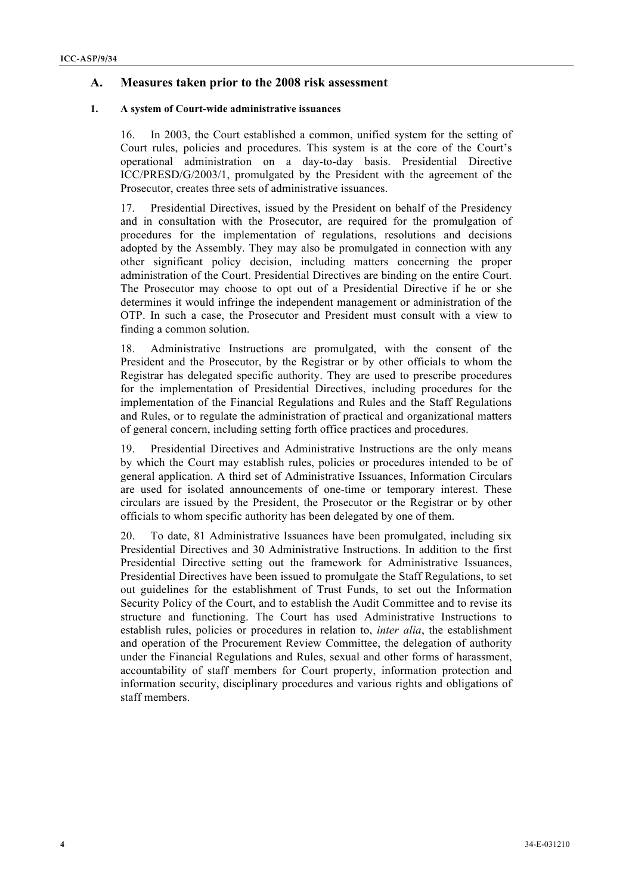# **A. Measures taken prior to the 2008 risk assessment**

### **1. A system of Court-wide administrative issuances**

16. In 2003, the Court established a common, unified system for the setting of Court rules, policies and procedures. This system is at the core of the Court's operational administration on a day-to-day basis. Presidential Directive ICC/PRESD/G/2003/1, promulgated by the President with the agreement of the Prosecutor, creates three sets of administrative issuances.

17. Presidential Directives, issued by the President on behalf of the Presidency and in consultation with the Prosecutor, are required for the promulgation of procedures for the implementation of regulations, resolutions and decisions adopted by the Assembly. They may also be promulgated in connection with any other significant policy decision, including matters concerning the proper administration of the Court. Presidential Directives are binding on the entire Court. The Prosecutor may choose to opt out of a Presidential Directive if he or she determines it would infringe the independent management or administration of the OTP. In such a case, the Prosecutor and President must consult with a view to finding a common solution.

18. Administrative Instructions are promulgated, with the consent of the President and the Prosecutor, by the Registrar or by other officials to whom the Registrar has delegated specific authority. They are used to prescribe procedures for the implementation of Presidential Directives, including procedures for the implementation of the Financial Regulations and Rules and the Staff Regulations and Rules, or to regulate the administration of practical and organizational matters of general concern, including setting forth office practices and procedures.

19. Presidential Directives and Administrative Instructions are the only means by which the Court may establish rules, policies or procedures intended to be of general application. A third set of Administrative Issuances, Information Circulars are used for isolated announcements of one-time or temporary interest. These circulars are issued by the President, the Prosecutor or the Registrar or by other officials to whom specific authority has been delegated by one of them.

20. To date, 81 Administrative Issuances have been promulgated, including six Presidential Directives and 30 Administrative Instructions. In addition to the first Presidential Directive setting out the framework for Administrative Issuances, Presidential Directives have been issued to promulgate the Staff Regulations, to set out guidelines for the establishment of Trust Funds, to set out the Information Security Policy of the Court, and to establish the Audit Committee and to revise its structure and functioning. The Court has used Administrative Instructions to establish rules, policies or procedures in relation to, *inter alia*, the establishment and operation of the Procurement Review Committee, the delegation of authority under the Financial Regulations and Rules, sexual and other forms of harassment, accountability of staff members for Court property, information protection and information security, disciplinary procedures and various rights and obligations of staff members.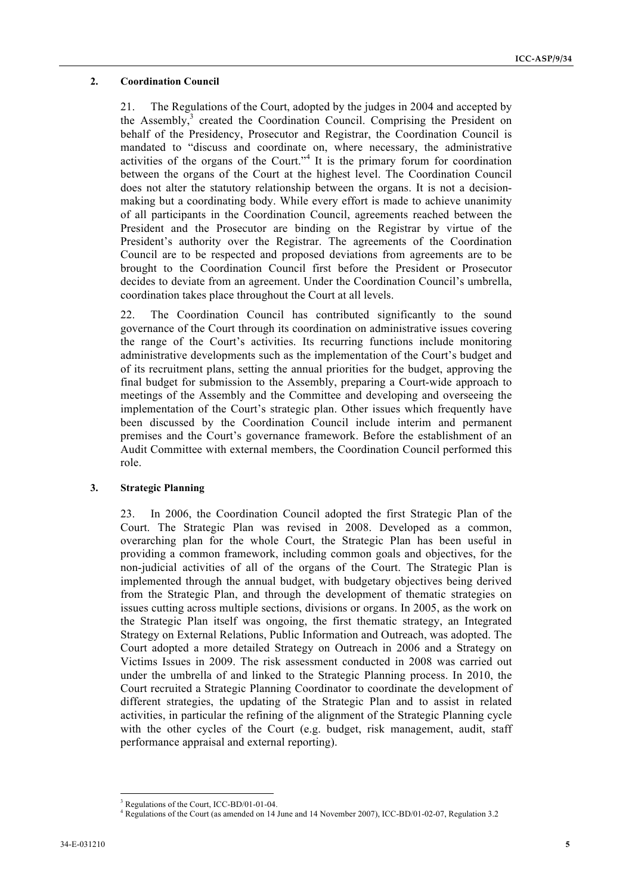## **2. Coordination Council** <sup>5</sup>

21. The Regulations of the Court, adopted by the judges in 2004 and accepted by the Assembly,<sup>3</sup> created the Coordination Council. Comprising the President on behalf of the Presidency, Prosecutor and Registrar, the Coordination Council is mandated to "discuss and coordinate on, where necessary, the administrative activities of the organs of the Court."<sup>4</sup> It is the primary forum for coordination between the organs of the Court at the highest level. The Coordination Council does not alter the statutory relationship between the organs. It is not a decisionmaking but a coordinating body. While every effort is made to achieve unanimity of all participants in the Coordination Council, agreements reached between the President and the Prosecutor are binding on the Registrar by virtue of the President's authority over the Registrar. The agreements of the Coordination Council are to be respected and proposed deviations from agreements are to be brought to the Coordination Council first before the President or Prosecutor decides to deviate from an agreement. Under the Coordination Council's umbrella, coordination takes place throughout the Court at all levels.

22. The Coordination Council has contributed significantly to the sound governance of the Court through its coordination on administrative issues covering the range of the Court's activities. Its recurring functions include monitoring administrative developments such as the implementation of the Court's budget and of its recruitment plans, setting the annual priorities for the budget, approving the final budget for submission to the Assembly, preparing a Court-wide approach to meetings of the Assembly and the Committee and developing and overseeing the implementation of the Court's strategic plan. Other issues which frequently have been discussed by the Coordination Council include interim and permanent premises and the Court's governance framework. Before the establishment of an Audit Committee with external members, the Coordination Council performed this role.

# **3. Strategic Planning**

23. In 2006, the Coordination Council adopted the first Strategic Plan of the Court. The Strategic Plan was revised in 2008. Developed as a common, overarching plan for the whole Court, the Strategic Plan has been useful in providing a common framework, including common goals and objectives, for the non-judicial activities of all of the organs of the Court. The Strategic Plan is implemented through the annual budget, with budgetary objectives being derived from the Strategic Plan, and through the development of thematic strategies on issues cutting across multiple sections, divisions or organs. In 2005, as the work on the Strategic Plan itself was ongoing, the first thematic strategy, an Integrated Strategy on External Relations, Public Information and Outreach, was adopted. The Court adopted a more detailed Strategy on Outreach in 2006 and a Strategy on Victims Issues in 2009. The risk assessment conducted in 2008 was carried out under the umbrella of and linked to the Strategic Planning process. In 2010, the Court recruited a Strategic Planning Coordinator to coordinate the development of different strategies, the updating of the Strategic Plan and to assist in related activities, in particular the refining of the alignment of the Strategic Planning cycle with the other cycles of the Court (e.g. budget, risk management, audit, staff performance appraisal and external reporting).

 <sup>3</sup> Regulations of the Court, ICC-BD/01-01-04.

<sup>4</sup> Regulations of the Court (as amended on 14 June and 14 November 2007), ICC-BD/01-02-07, Regulation 3.2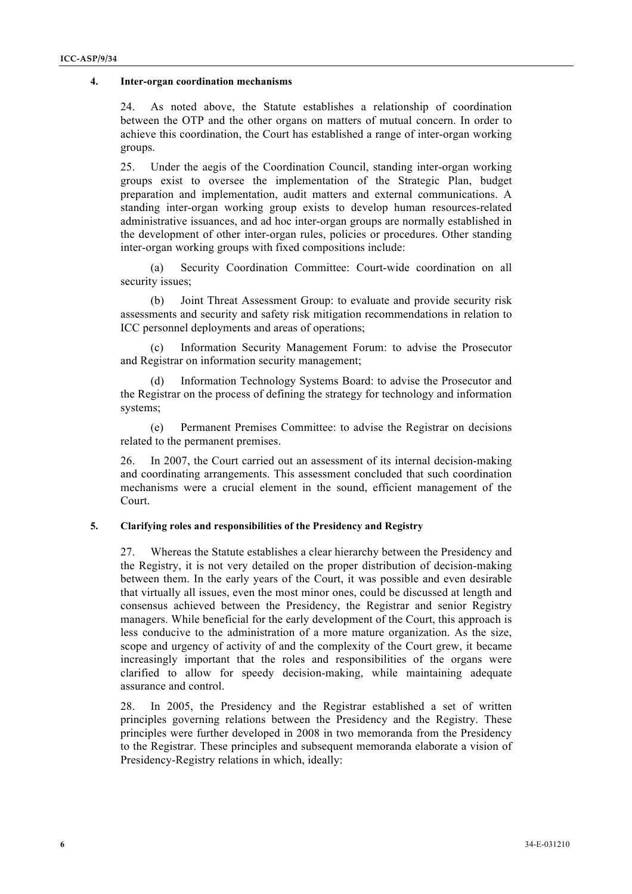### **4. Inter-organ coordination mechanisms** <sup>6</sup>

24. As noted above, the Statute establishes a relationship of coordination between the OTP and the other organs on matters of mutual concern. In order to achieve this coordination, the Court has established a range of inter-organ working groups.

25. Under the aegis of the Coordination Council, standing inter-organ working groups exist to oversee the implementation of the Strategic Plan, budget preparation and implementation, audit matters and external communications. A standing inter-organ working group exists to develop human resources-related administrative issuances, and ad hoc inter-organ groups are normally established in the development of other inter-organ rules, policies or procedures. Other standing inter-organ working groups with fixed compositions include:

(a) Security Coordination Committee: Court-wide coordination on all security issues;

(b) Joint Threat Assessment Group: to evaluate and provide security risk assessments and security and safety risk mitigation recommendations in relation to ICC personnel deployments and areas of operations;

(c) Information Security Management Forum: to advise the Prosecutor and Registrar on information security management;

Information Technology Systems Board: to advise the Prosecutor and the Registrar on the process of defining the strategy for technology and information systems;

(e) Permanent Premises Committee: to advise the Registrar on decisions related to the permanent premises.

26. In 2007, the Court carried out an assessment of its internal decision-making and coordinating arrangements. This assessment concluded that such coordination mechanisms were a crucial element in the sound, efficient management of the Court.

## **5. Clarifying roles and responsibilities of the Presidency and Registry**

27. Whereas the Statute establishes a clear hierarchy between the Presidency and the Registry, it is not very detailed on the proper distribution of decision-making between them. In the early years of the Court, it was possible and even desirable that virtually all issues, even the most minor ones, could be discussed at length and consensus achieved between the Presidency, the Registrar and senior Registry managers. While beneficial for the early development of the Court, this approach is less conducive to the administration of a more mature organization. As the size, scope and urgency of activity of and the complexity of the Court grew, it became increasingly important that the roles and responsibilities of the organs were clarified to allow for speedy decision-making, while maintaining adequate assurance and control.

28. In 2005, the Presidency and the Registrar established a set of written principles governing relations between the Presidency and the Registry. These principles were further developed in 2008 in two memoranda from the Presidency to the Registrar. These principles and subsequent memoranda elaborate a vision of Presidency-Registry relations in which, ideally: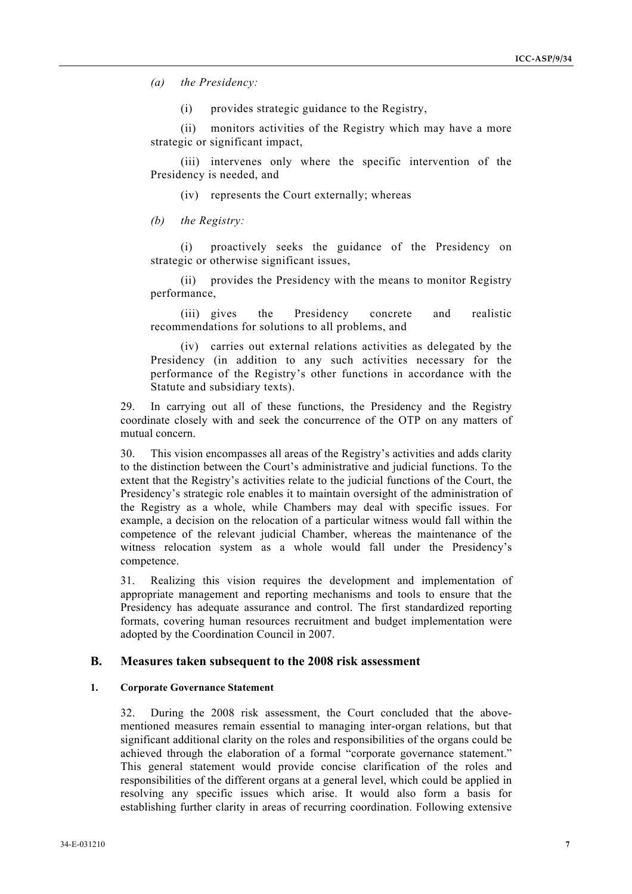*(a) the Presidency:*

(i) provides strategic guidance to the Registry,

(ii) monitors activities of the Registry which may have a more strategic or significant impact,

(iii) intervenes only where the specific intervention of the Presidency is needed, and

(iv) represents the Court externally; whereas

*(b) the Registry:*

(i) proactively seeks the guidance of the Presidency on strategic or otherwise significant issues,

(ii) provides the Presidency with the means to monitor Registry performance,

(iii) gives the Presidency concrete and realistic recommendations for solutions to all problems, and

(iv) carries out external relations activities as delegated by the Presidency (in addition to any such activities necessary for the performance of the Registry's other functions in accordance with the Statute and subsidiary texts).

29. In carrying out all of these functions, the Presidency and the Registry coordinate closely with and seek the concurrence of the OTP on any matters of mutual concern.

30. This vision encompasses all areas of the Registry's activities and adds clarity to the distinction between the Court's administrative and judicial functions. To the extent that the Registry's activities relate to the judicial functions of the Court, the Presidency's strategic role enables it to maintain oversight of the administration of the Registry as a whole, while Chambers may deal with specific issues. For example, a decision on the relocation of a particular witness would fall within the competence of the relevant judicial Chamber, whereas the maintenance of the witness relocation system as a whole would fall under the Presidency's competence.

31. Realizing this vision requires the development and implementation of appropriate management and reporting mechanisms and tools to ensure that the Presidency has adequate assurance and control. The first standardized reporting formats, covering human resources recruitment and budget implementation were adopted by the Coordination Council in 2007.

## **B. Measures taken subsequent to the 2008 risk assessment**

## **1. Corporate Governance Statement**

32. During the 2008 risk assessment, the Court concluded that the abovementioned measures remain essential to managing inter-organ relations, but that significant additional clarity on the roles and responsibilities of the organs could be achieved through the elaboration of a formal "corporate governance statement." This general statement would provide concise clarification of the roles and responsibilities of the different organs at a general level, which could be applied in resolving any specific issues which arise. It would also form a basis for establishing further clarity in areas of recurring coordination. Following extensive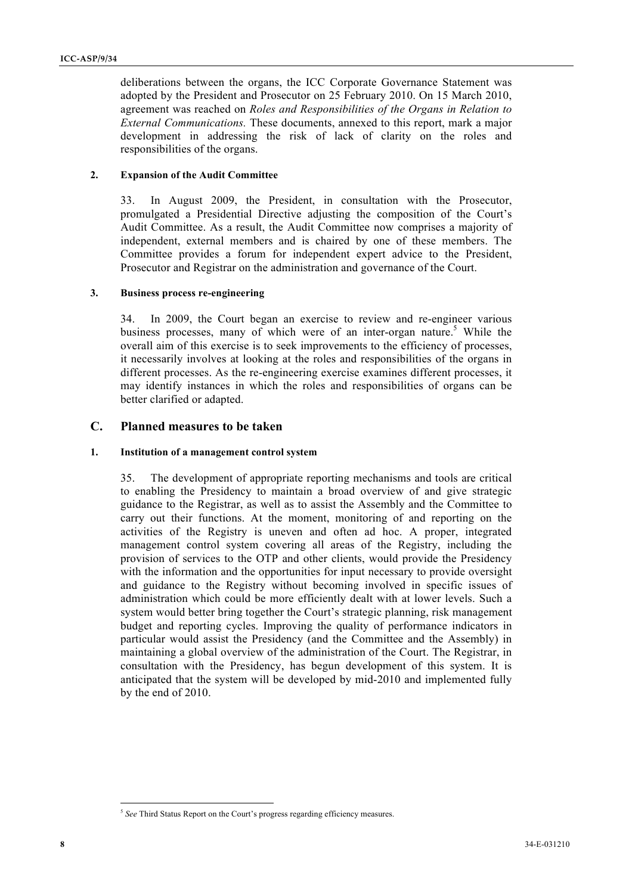deliberations between the organs, the ICC Corporate Governance Statement was adopted by the President and Prosecutor on 25 February 2010. On 15 March 2010, agreement was reached on *Roles and Responsibilities of the Organs in Relation to External Communications.* These documents, annexed to this report, mark a major development in addressing the risk of lack of clarity on the roles and responsibilities of the organs.

## **2. Expansion of the Audit Committee**

33. In August 2009, the President, in consultation with the Prosecutor, promulgated a Presidential Directive adjusting the composition of the Court's Audit Committee. As a result, the Audit Committee now comprises a majority of independent, external members and is chaired by one of these members. The Committee provides a forum for independent expert advice to the President, Prosecutor and Registrar on the administration and governance of the Court.

# **3. Business process re-engineering**

34. In 2009, the Court began an exercise to review and re-engineer various business processes, many of which were of an inter-organ nature.<sup>5</sup> While the overall aim of this exercise is to seek improvements to the efficiency of processes, it necessarily involves at looking at the roles and responsibilities of the organs in different processes. As the re-engineering exercise examines different processes, it may identify instances in which the roles and responsibilities of organs can be better clarified or adapted.

# **C. Planned measures to be taken**

# **1. Institution of a management control system**

35. The development of appropriate reporting mechanisms and tools are critical to enabling the Presidency to maintain a broad overview of and give strategic guidance to the Registrar, as well as to assist the Assembly and the Committee to carry out their functions. At the moment, monitoring of and reporting on the activities of the Registry is uneven and often ad hoc. A proper, integrated management control system covering all areas of the Registry, including the provision of services to the OTP and other clients, would provide the Presidency with the information and the opportunities for input necessary to provide oversight and guidance to the Registry without becoming involved in specific issues of administration which could be more efficiently dealt with at lower levels. Such a system would better bring together the Court's strategic planning, risk management budget and reporting cycles. Improving the quality of performance indicators in particular would assist the Presidency (and the Committee and the Assembly) in maintaining a global overview of the administration of the Court. The Registrar, in consultation with the Presidency, has begun development of this system. It is anticipated that the system will be developed by mid-2010 and implemented fully by the end of 2010.

<sup>&</sup>lt;sup>5</sup> See Third Status Report on the Court's progress regarding efficiency measures.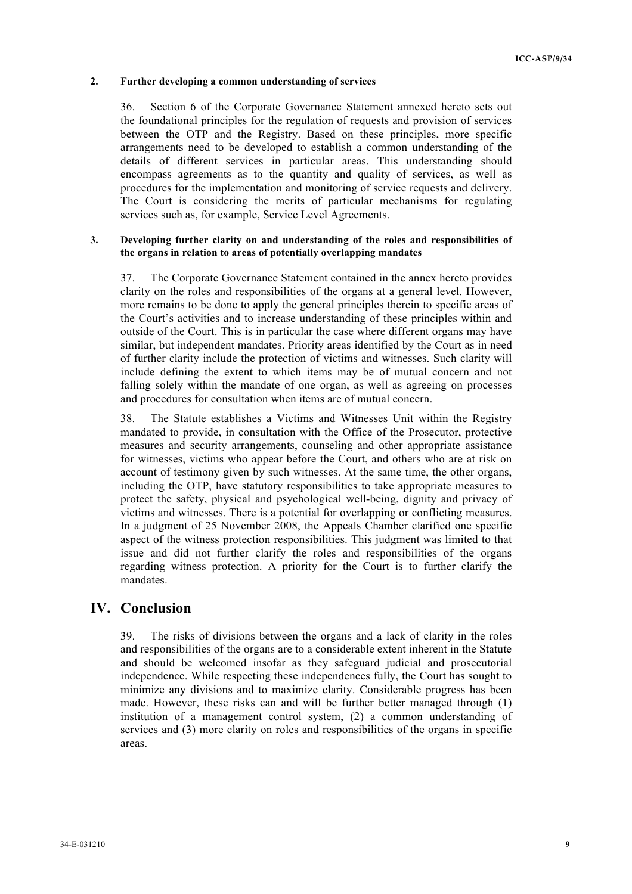## 2. Further developing a common understanding of services

36. Section 6 of the Corporate Governance Statement annexed hereto sets out the foundational principles for the regulation of requests and provision of services between the OTP and the Registry. Based on these principles, more specific arrangements need to be developed to establish a common understanding of the details of different services in particular areas. This understanding should encompass agreements as to the quantity and quality of services, as well as procedures for the implementation and monitoring of service requests and delivery. The Court is considering the merits of particular mechanisms for regulating services such as, for example, Service Level Agreements.

### **3. Developing further clarity on and understanding of the roles and responsibilities of the organs in relation to areas of potentially overlapping mandates**

37. The Corporate Governance Statement contained in the annex hereto provides clarity on the roles and responsibilities of the organs at a general level. However, more remains to be done to apply the general principles therein to specific areas of the Court's activities and to increase understanding of these principles within and outside of the Court. This is in particular the case where different organs may have similar, but independent mandates. Priority areas identified by the Court as in need of further clarity include the protection of victims and witnesses. Such clarity will include defining the extent to which items may be of mutual concern and not falling solely within the mandate of one organ, as well as agreeing on processes and procedures for consultation when items are of mutual concern.

38. The Statute establishes a Victims and Witnesses Unit within the Registry mandated to provide, in consultation with the Office of the Prosecutor, protective measures and security arrangements, counseling and other appropriate assistance for witnesses, victims who appear before the Court, and others who are at risk on account of testimony given by such witnesses. At the same time, the other organs, including the OTP, have statutory responsibilities to take appropriate measures to protect the safety, physical and psychological well-being, dignity and privacy of victims and witnesses. There is a potential for overlapping or conflicting measures. In a judgment of 25 November 2008, the Appeals Chamber clarified one specific aspect of the witness protection responsibilities. This judgment was limited to that issue and did not further clarify the roles and responsibilities of the organs regarding witness protection. A priority for the Court is to further clarify the mandates.

# **IV. Conclusion**

39. The risks of divisions between the organs and a lack of clarity in the roles and responsibilities of the organs are to a considerable extent inherent in the Statute and should be welcomed insofar as they safeguard judicial and prosecutorial independence. While respecting these independences fully, the Court has sought to minimize any divisions and to maximize clarity. Considerable progress has been made. However, these risks can and will be further better managed through (1) institution of a management control system, (2) a common understanding of services and (3) more clarity on roles and responsibilities of the organs in specific areas.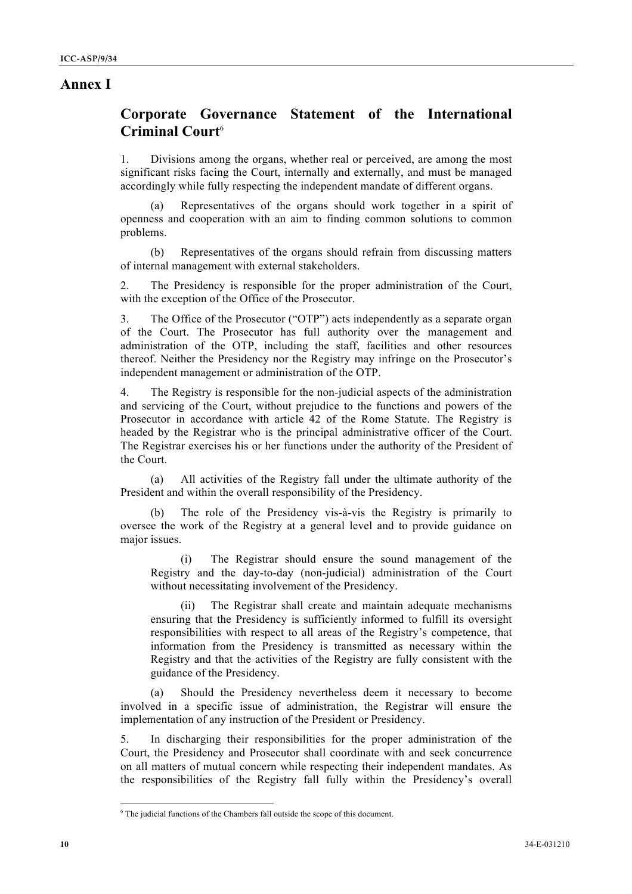# **Annex I**

# **Corporate Governance Statement of the International Criminal Court**<sup>6</sup>

1. Divisions among the organs, whether real or perceived, are among the most significant risks facing the Court, internally and externally, and must be managed accordingly while fully respecting the independent mandate of different organs.

Representatives of the organs should work together in a spirit of openness and cooperation with an aim to finding common solutions to common problems.

(b) Representatives of the organs should refrain from discussing matters of internal management with external stakeholders.

2. The Presidency is responsible for the proper administration of the Court, with the exception of the Office of the Prosecutor.

3. The Office of the Prosecutor ("OTP") acts independently as a separate organ of the Court. The Prosecutor has full authority over the management and administration of the OTP, including the staff, facilities and other resources thereof. Neither the Presidency nor the Registry may infringe on the Prosecutor's independent management or administration of the OTP.

4. The Registry is responsible for the non-judicial aspects of the administration and servicing of the Court, without prejudice to the functions and powers of the Prosecutor in accordance with article 42 of the Rome Statute. The Registry is headed by the Registrar who is the principal administrative officer of the Court. The Registrar exercises his or her functions under the authority of the President of the Court.

(a) All activities of the Registry fall under the ultimate authority of the President and within the overall responsibility of the Presidency.

(b) The role of the Presidency vis-à-vis the Registry is primarily to oversee the work of the Registry at a general level and to provide guidance on major issues.

(i) The Registrar should ensure the sound management of the Registry and the day-to-day (non-judicial) administration of the Court without necessitating involvement of the Presidency.

(ii) The Registrar shall create and maintain adequate mechanisms ensuring that the Presidency is sufficiently informed to fulfill its oversight responsibilities with respect to all areas of the Registry's competence, that information from the Presidency is transmitted as necessary within the Registry and that the activities of the Registry are fully consistent with the guidance of the Presidency.

(a) Should the Presidency nevertheless deem it necessary to become involved in a specific issue of administration, the Registrar will ensure the implementation of any instruction of the President or Presidency.

5. In discharging their responsibilities for the proper administration of the Court, the Presidency and Prosecutor shall coordinate with and seek concurrence on all matters of mutual concern while respecting their independent mandates. As the responsibilities of the Registry fall fully within the Presidency's overall

 <sup>6</sup> <sup>6</sup> The judicial functions of the Chambers fall outside the scope of this document.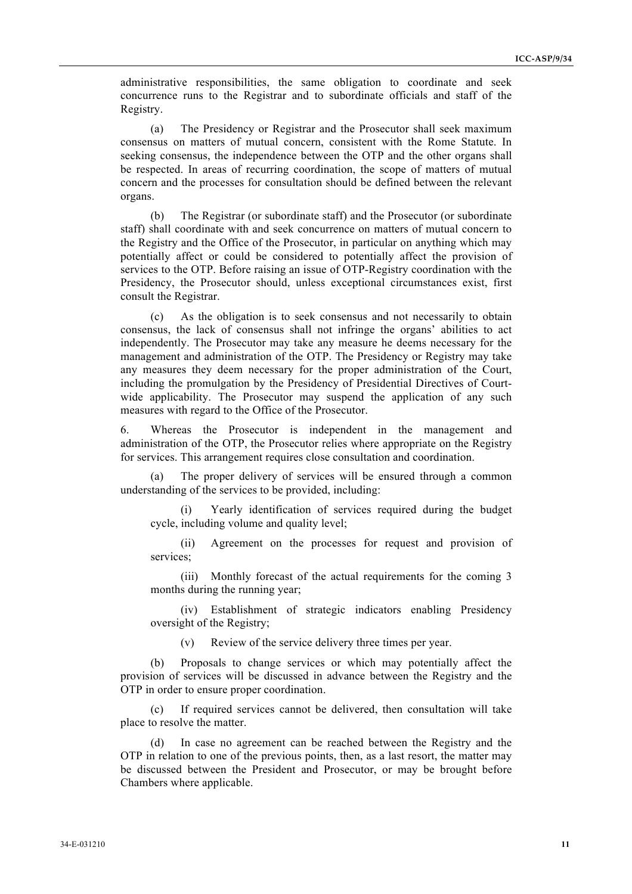administrative responsibilities, the same obligation to coordinate and seek concurrence runs to the Registrar and to subordinate officials and staff of the Registry.

(a) The Presidency or Registrar and the Prosecutor shall seek maximum consensus on matters of mutual concern, consistent with the Rome Statute. In seeking consensus, the independence between the OTP and the other organs shall be respected. In areas of recurring coordination, the scope of matters of mutual concern and the processes for consultation should be defined between the relevant organs.

(b) The Registrar (or subordinate staff) and the Prosecutor (or subordinate staff) shall coordinate with and seek concurrence on matters of mutual concern to the Registry and the Office of the Prosecutor, in particular on anything which may potentially affect or could be considered to potentially affect the provision of services to the OTP. Before raising an issue of OTP-Registry coordination with the Presidency, the Prosecutor should, unless exceptional circumstances exist, first consult the Registrar.

(c) As the obligation is to seek consensus and not necessarily to obtain consensus, the lack of consensus shall not infringe the organs' abilities to act independently. The Prosecutor may take any measure he deems necessary for the management and administration of the OTP. The Presidency or Registry may take any measures they deem necessary for the proper administration of the Court, including the promulgation by the Presidency of Presidential Directives of Courtwide applicability. The Prosecutor may suspend the application of any such measures with regard to the Office of the Prosecutor.

6. Whereas the Prosecutor is independent in the management and administration of the OTP, the Prosecutor relies where appropriate on the Registry for services. This arrangement requires close consultation and coordination.

The proper delivery of services will be ensured through a common understanding of the services to be provided, including:

(i) Yearly identification of services required during the budget cycle, including volume and quality level;

(ii) Agreement on the processes for request and provision of services;

(iii) Monthly forecast of the actual requirements for the coming 3 months during the running year;

(iv) Establishment of strategic indicators enabling Presidency oversight of the Registry;

(v) Review of the service delivery three times per year.

(b) Proposals to change services or which may potentially affect the provision of services will be discussed in advance between the Registry and the OTP in order to ensure proper coordination.

(c) If required services cannot be delivered, then consultation will take place to resolve the matter.

(d) In case no agreement can be reached between the Registry and the OTP in relation to one of the previous points, then, as a last resort, the matter may be discussed between the President and Prosecutor, or may be brought before Chambers where applicable.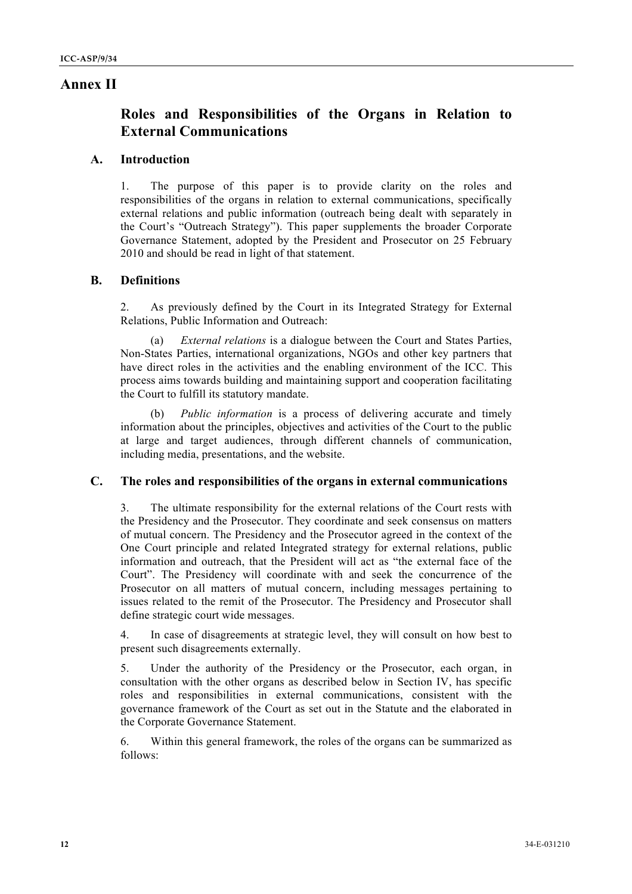# **Annex II**

# **Roles and Responsibilities of the Organs in Relation to External Communications**

# **A. Introduction**

1. The purpose of this paper is to provide clarity on the roles and responsibilities of the organs in relation to external communications, specifically external relations and public information (outreach being dealt with separately in the Court's "Outreach Strategy"). This paper supplements the broader Corporate Governance Statement, adopted by the President and Prosecutor on 25 February 2010 and should be read in light of that statement.

# **B. Definitions**

2. As previously defined by the Court in its Integrated Strategy for External Relations, Public Information and Outreach:

(a) *External relations* is a dialogue between the Court and States Parties, Non-States Parties, international organizations, NGOs and other key partners that have direct roles in the activities and the enabling environment of the ICC. This process aims towards building and maintaining support and cooperation facilitating the Court to fulfill its statutory mandate.

*Public information* is a process of delivering accurate and timely information about the principles, objectives and activities of the Court to the public at large and target audiences, through different channels of communication, including media, presentations, and the website.

# **C. The roles and responsibilities of the organs in external communications**

3. The ultimate responsibility for the external relations of the Court rests with the Presidency and the Prosecutor. They coordinate and seek consensus on matters of mutual concern. The Presidency and the Prosecutor agreed in the context of the One Court principle and related Integrated strategy for external relations, public information and outreach, that the President will act as "the external face of the Court". The Presidency will coordinate with and seek the concurrence of the Prosecutor on all matters of mutual concern, including messages pertaining to issues related to the remit of the Prosecutor. The Presidency and Prosecutor shall define strategic court wide messages.

4. In case of disagreements at strategic level, they will consult on how best to present such disagreements externally.

5. Under the authority of the Presidency or the Prosecutor, each organ, in consultation with the other organs as described below in Section IV, has specific roles and responsibilities in external communications, consistent with the governance framework of the Court as set out in the Statute and the elaborated in the Corporate Governance Statement.

6. Within this general framework, the roles of the organs can be summarized as follows: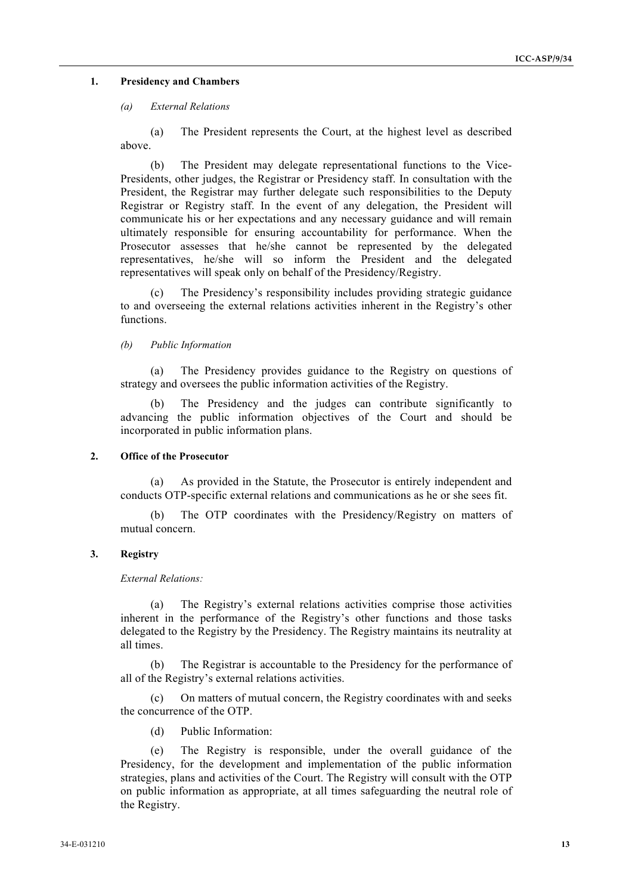#### **1. Presidency and Chambers**

#### *(a) External Relations*

(a) The President represents the Court, at the highest level as described above.

(b) The President may delegate representational functions to the Vice-Presidents, other judges, the Registrar or Presidency staff. In consultation with the President, the Registrar may further delegate such responsibilities to the Deputy Registrar or Registry staff. In the event of any delegation, the President will communicate his or her expectations and any necessary guidance and will remain ultimately responsible for ensuring accountability for performance. When the Prosecutor assesses that he/she cannot be represented by the delegated representatives, he/she will so inform the President and the delegated representatives will speak only on behalf of the Presidency/Registry.

(c) The Presidency's responsibility includes providing strategic guidance to and overseeing the external relations activities inherent in the Registry's other functions.

*(b) Public Information*

(a) The Presidency provides guidance to the Registry on questions of strategy and oversees the public information activities of the Registry.

(b) The Presidency and the judges can contribute significantly to advancing the public information objectives of the Court and should be incorporated in public information plans.

## **2. Office of the Prosecutor**

(a) As provided in the Statute, the Prosecutor is entirely independent and conducts OTP-specific external relations and communications as he or she sees fit.

(b) The OTP coordinates with the Presidency/Registry on matters of mutual concern.

## **3. Registry**

*External Relations:*

(a) The Registry's external relations activities comprise those activities inherent in the performance of the Registry's other functions and those tasks delegated to the Registry by the Presidency. The Registry maintains its neutrality at all times.

(b) The Registrar is accountable to the Presidency for the performance of all of the Registry's external relations activities.

(c) On matters of mutual concern, the Registry coordinates with and seeks the concurrence of the OTP.

(d) Public Information:

(e) The Registry is responsible, under the overall guidance of the Presidency, for the development and implementation of the public information strategies, plans and activities of the Court. The Registry will consult with the OTP on public information as appropriate, at all times safeguarding the neutral role of the Registry.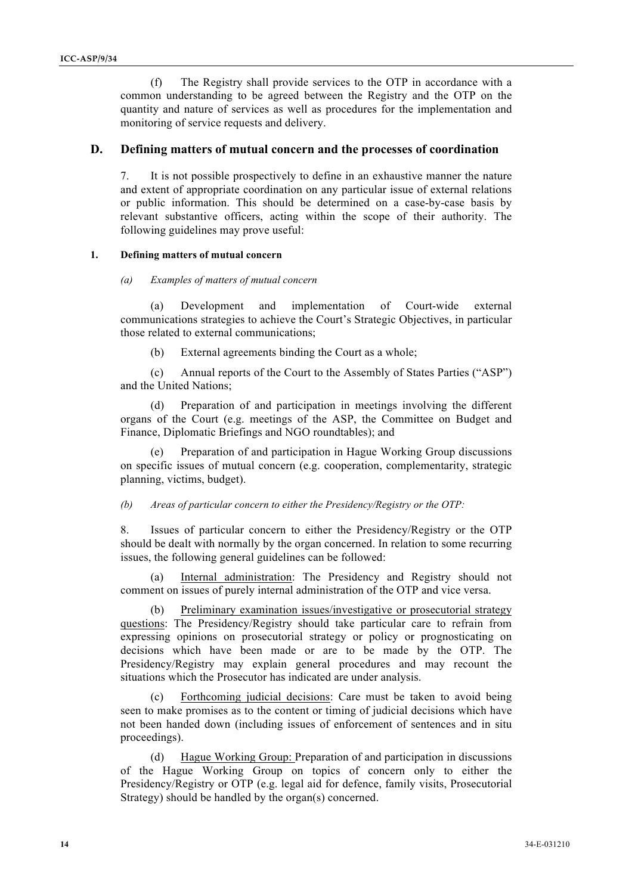(f) The Registry shall provide services to the OTP in accordance with a common understanding to be agreed between the Registry and the OTP on the quantity and nature of services as well as procedures for the implementation and monitoring of service requests and delivery.

## **D. Defining matters of mutual concern and the processes of coordination**

7. It is not possible prospectively to define in an exhaustive manner the nature and extent of appropriate coordination on any particular issue of external relations or public information. This should be determined on a case-by-case basis by relevant substantive officers, acting within the scope of their authority. The following guidelines may prove useful:

#### **1. Defining matters of mutual concern**

#### *(a) Examples of matters of mutual concern*

(a) Development and implementation of Court-wide external communications strategies to achieve the Court's Strategic Objectives, in particular those related to external communications;

(b) External agreements binding the Court as a whole;

(c) Annual reports of the Court to the Assembly of States Parties ("ASP") and the United Nations;

(d) Preparation of and participation in meetings involving the different organs of the Court (e.g. meetings of the ASP, the Committee on Budget and Finance, Diplomatic Briefings and NGO roundtables); and

Preparation of and participation in Hague Working Group discussions on specific issues of mutual concern (e.g. cooperation, complementarity, strategic planning, victims, budget).

### *(b) Areas of particular concern to either the Presidency/Registry or the OTP:*

8. Issues of particular concern to either the Presidency/Registry or the OTP should be dealt with normally by the organ concerned. In relation to some recurring issues, the following general guidelines can be followed:

(a) Internal administration: The Presidency and Registry should not comment on issues of purely internal administration of the OTP and vice versa.

(b) Preliminary examination issues/investigative or prosecutorial strategy questions: The Presidency/Registry should take particular care to refrain from expressing opinions on prosecutorial strategy or policy or prognosticating on decisions which have been made or are to be made by the OTP. The Presidency/Registry may explain general procedures and may recount the situations which the Prosecutor has indicated are under analysis.

(c) Forthcoming judicial decisions: Care must be taken to avoid being seen to make promises as to the content or timing of judicial decisions which have not been handed down (including issues of enforcement of sentences and in situ proceedings).

(d) Hague Working Group: Preparation of and participation in discussions of the Hague Working Group on topics of concern only to either the Presidency/Registry or OTP (e.g. legal aid for defence, family visits, Prosecutorial Strategy) should be handled by the organ(s) concerned.